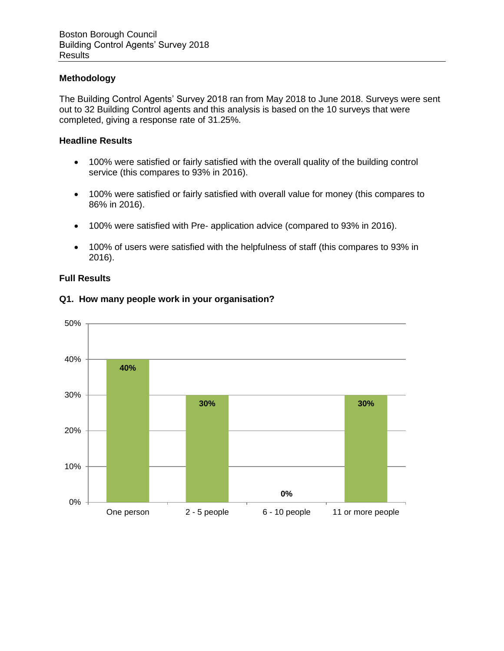## **Methodology**

The Building Control Agents' Survey 2018 ran from May 2018 to June 2018. Surveys were sent out to 32 Building Control agents and this analysis is based on the 10 surveys that were completed, giving a response rate of 31.25%.

### **Headline Results**

- 100% were satisfied or fairly satisfied with the overall quality of the building control service (this compares to 93% in 2016).
- 100% were satisfied or fairly satisfied with overall value for money (this compares to 86% in 2016).
- 100% were satisfied with Pre- application advice (compared to 93% in 2016).
- 100% of users were satisfied with the helpfulness of staff (this compares to 93% in 2016).

### **Full Results**



### **Q1. How many people work in your organisation?**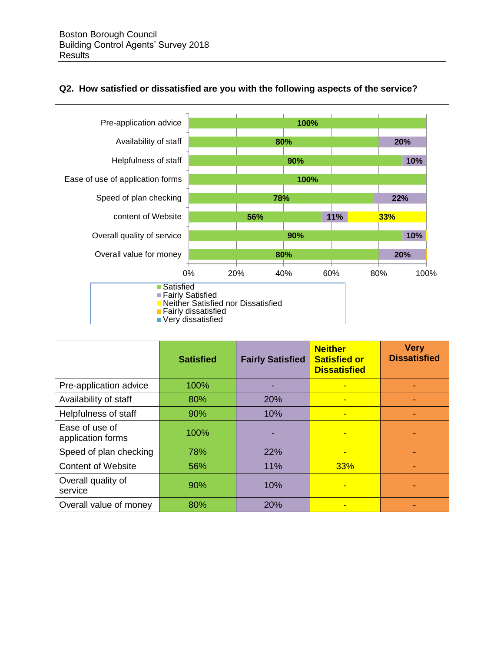



|                                     |      |     | <b>Dissatisfied</b>      |  |
|-------------------------------------|------|-----|--------------------------|--|
| Pre-application advice              | 100% |     | $\overline{\phantom{0}}$ |  |
| Availability of staff               | 80%  | 20% | -                        |  |
| Helpfulness of staff                | 90%  | 10% | -                        |  |
| Ease of use of<br>application forms | 100% |     | -                        |  |
| Speed of plan checking              | 78%  | 22% | $\overline{\phantom{0}}$ |  |
| <b>Content of Website</b>           | 56%  | 11% | 33%                      |  |
| Overall quality of<br>service       | 90%  | 10% | -                        |  |
| Overall value of money              | 80%  | 20% | -                        |  |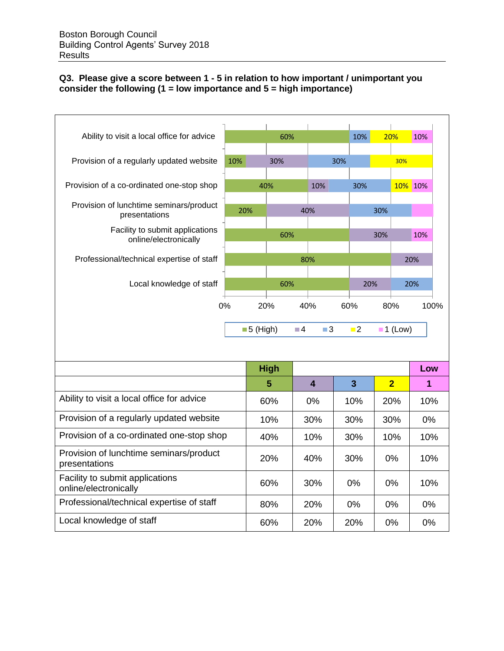# **Q3. Please give a score between 1 - 5 in relation to how important / unimportant you consider the following (1 = low importance and 5 = high importance)**